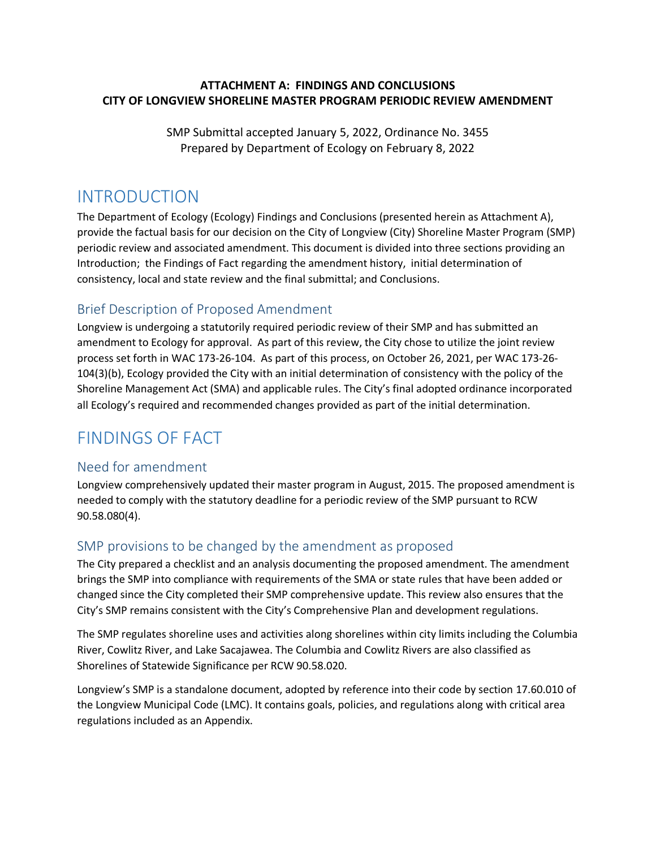## **ATTACHMENT A: FINDINGS AND CONCLUSIONS CITY OF LONGVIEW SHORELINE MASTER PROGRAM PERIODIC REVIEW AMENDMENT**

SMP Submittal accepted January 5, 2022, Ordinance No. 3455 Prepared by Department of Ecology on February 8, 2022

# INTRODUCTION

The Department of Ecology (Ecology) Findings and Conclusions (presented herein as Attachment A), provide the factual basis for our decision on the City of Longview (City) Shoreline Master Program (SMP) periodic review and associated amendment. This document is divided into three sections providing an Introduction; the Findings of Fact regarding the amendment history, initial determination of consistency, local and state review and the final submittal; and Conclusions.

# Brief Description of Proposed Amendment

Longview is undergoing a statutorily required periodic review of their SMP and has submitted an amendment to Ecology for approval. As part of this review, the City chose to utilize the joint review process set forth in WAC 173-26-104. As part of this process, on October 26, 2021, per WAC 173-26- 104(3)(b), Ecology provided the City with an initial determination of consistency with the policy of the Shoreline Management Act (SMA) and applicable rules. The City's final adopted ordinance incorporated all Ecology's required and recommended changes provided as part of the initial determination.

# FINDINGS OF FACT

## Need for amendment

Longview comprehensively updated their master program in August, 2015. The proposed amendment is needed to comply with the statutory deadline for a periodic review of the SMP pursuant to RCW 90.58.080(4).

## SMP provisions to be changed by the amendment as proposed

The City prepared a checklist and an analysis documenting the proposed amendment. The amendment brings the SMP into compliance with requirements of the SMA or state rules that have been added or changed since the City completed their SMP comprehensive update. This review also ensures that the City's SMP remains consistent with the City's Comprehensive Plan and development regulations.

The SMP regulates shoreline uses and activities along shorelines within city limits including the Columbia River, Cowlitz River, and Lake Sacajawea. The Columbia and Cowlitz Rivers are also classified as Shorelines of Statewide Significance per RCW 90.58.020.

Longview's SMP is a standalone document, adopted by reference into their code by section 17.60.010 of the Longview Municipal Code (LMC). It contains goals, policies, and regulations along with critical area regulations included as an Appendix.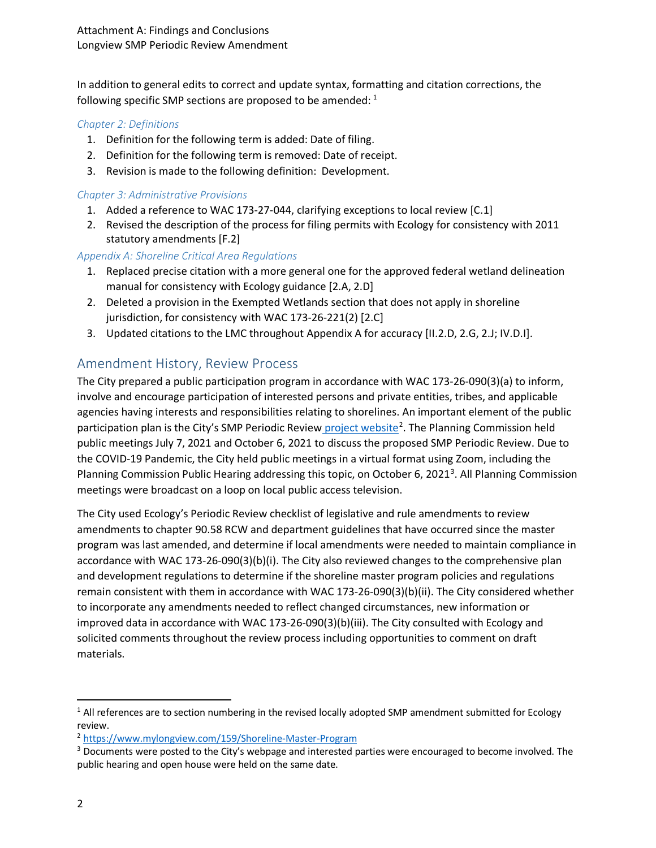In addition to general edits to correct and update syntax, formatting and citation corrections, the following specific SMP sections are proposed to be amended:  $1$ 

### *Chapter 2: Definitions*

- 1. Definition for the following term is added: Date of filing.
- 2. Definition for the following term is removed: Date of receipt.
- 3. Revision is made to the following definition: Development.

#### *Chapter 3: Administrative Provisions*

- 1. Added a reference to WAC 173-27-044, clarifying exceptions to local review [C.1]
- 2. Revised the description of the process for filing permits with Ecology for consistency with 2011 statutory amendments [F.2]

### *Appendix A: Shoreline Critical Area Regulations*

- 1. Replaced precise citation with a more general one for the approved federal wetland delineation manual for consistency with Ecology guidance [2.A, 2.D]
- 2. Deleted a provision in the Exempted Wetlands section that does not apply in shoreline jurisdiction, for consistency with WAC 173-26-221(2) [2.C]
- 3. Updated citations to the LMC throughout Appendix A for accuracy [II.2.D, 2.G, 2.J; IV.D.I].

## Amendment History, Review Process

The City prepared a public participation program in accordance with WAC 173-26-090(3)(a) to inform, involve and encourage participation of interested persons and private entities, tribes, and applicable agencies having interests and responsibilities relating to shorelines. An important element of the public participation plan is the City's SMP Periodic Review [project website](https://www.mylongview.com/159/Shoreline-Master-Program)<sup>[2](#page-1-1)</sup>. The Planning Commission held public meetings July 7, 2021 and October 6, 2021 to discuss the proposed SMP Periodic Review. Due to the COVID-19 Pandemic, the City held public meetings in a virtual format using Zoom, including the Planning Commission Public Hearing addressing this topic, on October 6, 2021<sup>[3](#page-1-2)</sup>. All Planning Commission meetings were broadcast on a loop on local public access television.

The City used Ecology's Periodic Review checklist of legislative and rule amendments to review amendments to chapter 90.58 RCW and department guidelines that have occurred since the master program was last amended, and determine if local amendments were needed to maintain compliance in accordance with WAC 173-26-090(3)(b)(i). The City also reviewed changes to the comprehensive plan and development regulations to determine if the shoreline master program policies and regulations remain consistent with them in accordance with WAC 173-26-090(3)(b)(ii). The City considered whether to incorporate any amendments needed to reflect changed circumstances, new information or improved data in accordance with WAC 173-26-090(3)(b)(iii). The City consulted with Ecology and solicited comments throughout the review process including opportunities to comment on draft materials.

<span id="page-1-0"></span><sup>&</sup>lt;sup>1</sup> All references are to section numbering in the revised locally adopted SMP amendment submitted for Ecology review.

<span id="page-1-1"></span><sup>2</sup> <https://www.mylongview.com/159/Shoreline-Master-Program>

<span id="page-1-2"></span><sup>&</sup>lt;sup>3</sup> Documents were posted to the City's webpage and interested parties were encouraged to become involved. The public hearing and open house were held on the same date.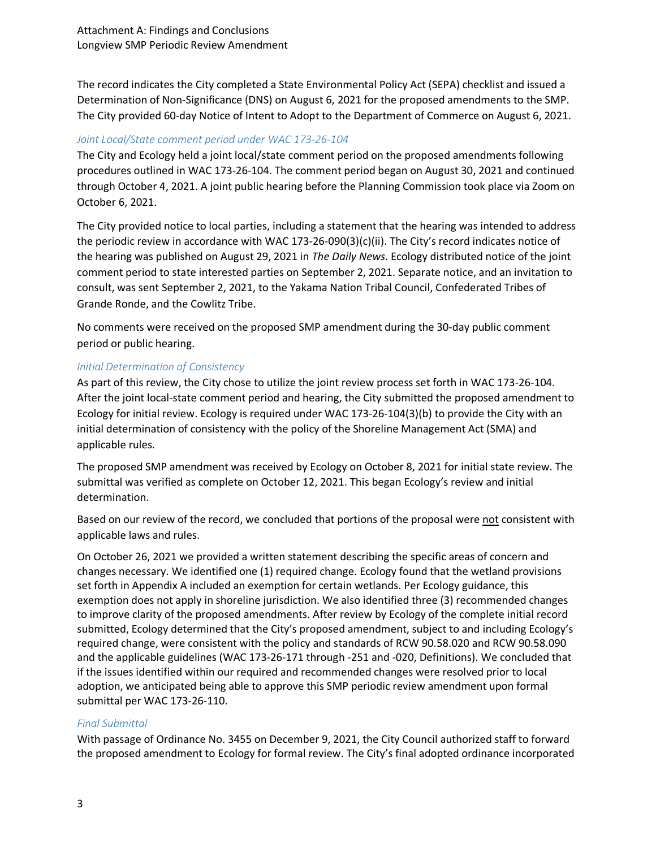The record indicates the City completed a State Environmental Policy Act (SEPA) checklist and issued a Determination of Non-Significance (DNS) on August 6, 2021 for the proposed amendments to the SMP. The City provided 60-day Notice of Intent to Adopt to the Department of Commerce on August 6, 2021.

#### *Joint Local/State comment period under WAC 173-26-104*

The City and Ecology held a joint local/state comment period on the proposed amendments following procedures outlined in WAC 173-26-104. The comment period began on August 30, 2021 and continued through October 4, 2021. A joint public hearing before the Planning Commission took place via Zoom on October 6, 2021.

The City provided notice to local parties, including a statement that the hearing was intended to address the periodic review in accordance with WAC 173-26-090(3)(c)(ii). The City's record indicates notice of the hearing was published on August 29, 2021 in *The Daily News*. Ecology distributed notice of the joint comment period to state interested parties on September 2, 2021. Separate notice, and an invitation to consult, was sent September 2, 2021, to the Yakama Nation Tribal Council, Confederated Tribes of Grande Ronde, and the Cowlitz Tribe.

No comments were received on the proposed SMP amendment during the 30-day public comment period or public hearing.

#### *Initial Determination of Consistency*

As part of this review, the City chose to utilize the joint review process set forth in WAC 173-26-104. After the joint local-state comment period and hearing, the City submitted the proposed amendment to Ecology for initial review. Ecology is required under WAC 173-26-104(3)(b) to provide the City with an initial determination of consistency with the policy of the Shoreline Management Act (SMA) and applicable rules.

The proposed SMP amendment was received by Ecology on October 8, 2021 for initial state review. The submittal was verified as complete on October 12, 2021. This began Ecology's review and initial determination.

Based on our review of the record, we concluded that portions of the proposal were not consistent with applicable laws and rules.

On October 26, 2021 we provided a written statement describing the specific areas of concern and changes necessary. We identified one (1) required change. Ecology found that the wetland provisions set forth in Appendix A included an exemption for certain wetlands. Per Ecology guidance, this exemption does not apply in shoreline jurisdiction. We also identified three (3) recommended changes to improve clarity of the proposed amendments. After review by Ecology of the complete initial record submitted, Ecology determined that the City's proposed amendment, subject to and including Ecology's required change, were consistent with the policy and standards of RCW 90.58.020 and RCW 90.58.090 and the applicable guidelines (WAC 173-26-171 through -251 and -020, Definitions). We concluded that if the issues identified within our required and recommended changes were resolved prior to local adoption, we anticipated being able to approve this SMP periodic review amendment upon formal submittal per WAC 173-26-110.

#### *Final Submittal*

With passage of Ordinance No. 3455 on December 9, 2021, the City Council authorized staff to forward the proposed amendment to Ecology for formal review. The City's final adopted ordinance incorporated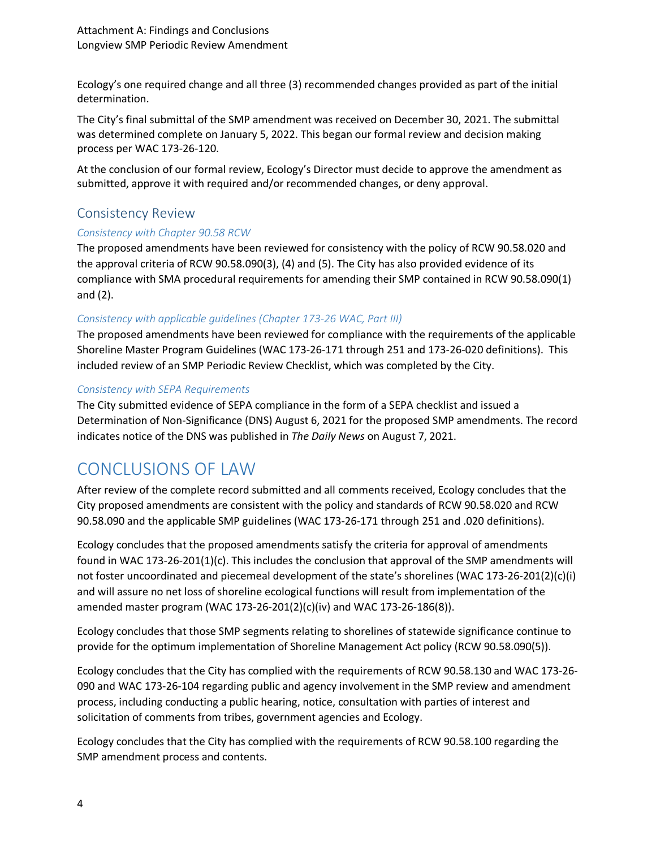Ecology's one required change and all three (3) recommended changes provided as part of the initial determination.

The City's final submittal of the SMP amendment was received on December 30, 2021. The submittal was determined complete on January 5, 2022. This began our formal review and decision making process per WAC 173-26-120.

At the conclusion of our formal review, Ecology's Director must decide to approve the amendment as submitted, approve it with required and/or recommended changes, or deny approval.

## Consistency Review

## *Consistency with Chapter 90.58 RCW*

The proposed amendments have been reviewed for consistency with the policy of RCW 90.58.020 and the approval criteria of RCW 90.58.090(3), (4) and (5). The City has also provided evidence of its compliance with SMA procedural requirements for amending their SMP contained in RCW 90.58.090(1) and (2).

## *Consistency with applicable guidelines (Chapter 173-26 WAC, Part III)*

The proposed amendments have been reviewed for compliance with the requirements of the applicable Shoreline Master Program Guidelines (WAC 173-26-171 through 251 and 173-26-020 definitions). This included review of an SMP Periodic Review Checklist, which was completed by the City.

### *Consistency with SEPA Requirements*

The City submitted evidence of SEPA compliance in the form of a SEPA checklist and issued a Determination of Non-Significance (DNS) August 6, 2021 for the proposed SMP amendments. The record indicates notice of the DNS was published in *The Daily News* on August 7, 2021.

# CONCLUSIONS OF LAW

After review of the complete record submitted and all comments received, Ecology concludes that the City proposed amendments are consistent with the policy and standards of RCW 90.58.020 and RCW 90.58.090 and the applicable SMP guidelines (WAC 173-26-171 through 251 and .020 definitions).

Ecology concludes that the proposed amendments satisfy the criteria for approval of amendments found in WAC 173-26-201(1)(c). This includes the conclusion that approval of the SMP amendments will not foster uncoordinated and piecemeal development of the state's shorelines (WAC 173-26-201(2)(c)(i) and will assure no net loss of shoreline ecological functions will result from implementation of the amended master program (WAC 173-26-201(2)(c)(iv) and WAC 173-26-186(8)).

Ecology concludes that those SMP segments relating to shorelines of statewide significance continue to provide for the optimum implementation of Shoreline Management Act policy (RCW 90.58.090(5)).

Ecology concludes that the City has complied with the requirements of RCW 90.58.130 and WAC 173-26- 090 and WAC 173-26-104 regarding public and agency involvement in the SMP review and amendment process, including conducting a public hearing, notice, consultation with parties of interest and solicitation of comments from tribes, government agencies and Ecology.

Ecology concludes that the City has complied with the requirements of RCW 90.58.100 regarding the SMP amendment process and contents.